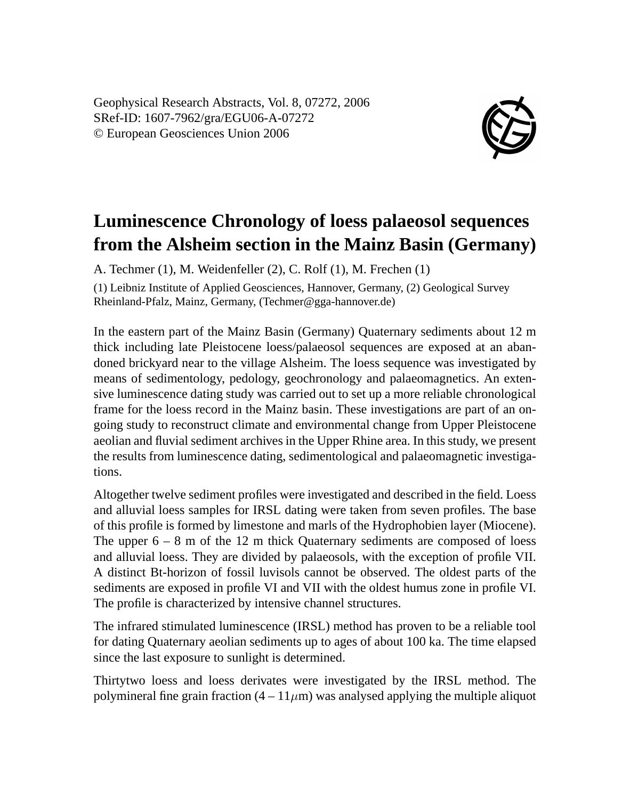Geophysical Research Abstracts, Vol. 8, 07272, 2006 SRef-ID: 1607-7962/gra/EGU06-A-07272 © European Geosciences Union 2006



## **Luminescence Chronology of loess palaeosol sequences from the Alsheim section in the Mainz Basin (Germany)**

A. Techmer (1), M. Weidenfeller (2), C. Rolf (1), M. Frechen (1)

(1) Leibniz Institute of Applied Geosciences, Hannover, Germany, (2) Geological Survey Rheinland-Pfalz, Mainz, Germany, (Techmer@gga-hannover.de)

In the eastern part of the Mainz Basin (Germany) Quaternary sediments about 12 m thick including late Pleistocene loess/palaeosol sequences are exposed at an abandoned brickyard near to the village Alsheim. The loess sequence was investigated by means of sedimentology, pedology, geochronology and palaeomagnetics. An extensive luminescence dating study was carried out to set up a more reliable chronological frame for the loess record in the Mainz basin. These investigations are part of an ongoing study to reconstruct climate and environmental change from Upper Pleistocene aeolian and fluvial sediment archives in the Upper Rhine area. In this study, we present the results from luminescence dating, sedimentological and palaeomagnetic investigations.

Altogether twelve sediment profiles were investigated and described in the field. Loess and alluvial loess samples for IRSL dating were taken from seven profiles. The base of this profile is formed by limestone and marls of the Hydrophobien layer (Miocene). The upper  $6 - 8$  m of the 12 m thick Quaternary sediments are composed of loess and alluvial loess. They are divided by palaeosols, with the exception of profile VII. A distinct Bt-horizon of fossil luvisols cannot be observed. The oldest parts of the sediments are exposed in profile VI and VII with the oldest humus zone in profile VI. The profile is characterized by intensive channel structures.

The infrared stimulated luminescence (IRSL) method has proven to be a reliable tool for dating Quaternary aeolian sediments up to ages of about 100 ka. The time elapsed since the last exposure to sunlight is determined.

Thirtytwo loess and loess derivates were investigated by the IRSL method. The polymineral fine grain fraction  $(4 - 11 \mu m)$  was analysed applying the multiple aliquot